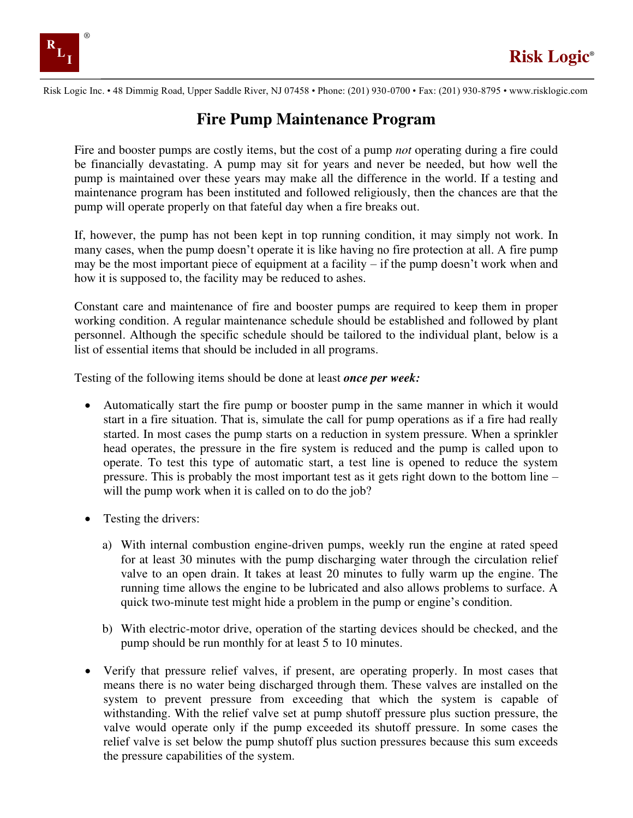

Risk Logic Inc. • 48 Dimmig Road, Upper Saddle River, NJ 07458 • Phone: (201) 930-0700 • Fax: (201) 930-8795 • www.risklogic.com

## **Fire Pump Maintenance Program**

Fire and booster pumps are costly items, but the cost of a pump *not* operating during a fire could be financially devastating. A pump may sit for years and never be needed, but how well the pump is maintained over these years may make all the difference in the world. If a testing and maintenance program has been instituted and followed religiously, then the chances are that the pump will operate properly on that fateful day when a fire breaks out.

If, however, the pump has not been kept in top running condition, it may simply not work. In many cases, when the pump doesn't operate it is like having no fire protection at all. A fire pump may be the most important piece of equipment at a facility – if the pump doesn't work when and how it is supposed to, the facility may be reduced to ashes.

Constant care and maintenance of fire and booster pumps are required to keep them in proper working condition. A regular maintenance schedule should be established and followed by plant personnel. Although the specific schedule should be tailored to the individual plant, below is a list of essential items that should be included in all programs.

Testing of the following items should be done at least *once per week:*

- Automatically start the fire pump or booster pump in the same manner in which it would start in a fire situation. That is, simulate the call for pump operations as if a fire had really started. In most cases the pump starts on a reduction in system pressure. When a sprinkler head operates, the pressure in the fire system is reduced and the pump is called upon to operate. To test this type of automatic start, a test line is opened to reduce the system pressure. This is probably the most important test as it gets right down to the bottom line – will the pump work when it is called on to do the job?
- Testing the drivers:
	- a) With internal combustion engine-driven pumps, weekly run the engine at rated speed for at least 30 minutes with the pump discharging water through the circulation relief valve to an open drain. It takes at least 20 minutes to fully warm up the engine. The running time allows the engine to be lubricated and also allows problems to surface. A quick two-minute test might hide a problem in the pump or engine's condition.
	- b) With electric-motor drive, operation of the starting devices should be checked, and the pump should be run monthly for at least 5 to 10 minutes.
- Verify that pressure relief valves, if present, are operating properly. In most cases that means there is no water being discharged through them. These valves are installed on the system to prevent pressure from exceeding that which the system is capable of withstanding. With the relief valve set at pump shutoff pressure plus suction pressure, the valve would operate only if the pump exceeded its shutoff pressure. In some cases the relief valve is set below the pump shutoff plus suction pressures because this sum exceeds the pressure capabilities of the system.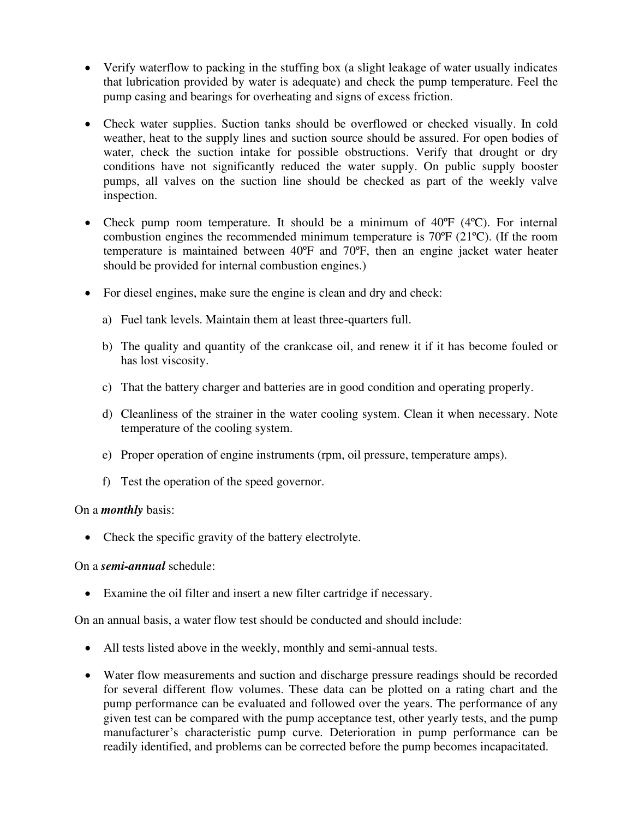- Verify waterflow to packing in the stuffing box (a slight leakage of water usually indicates that lubrication provided by water is adequate) and check the pump temperature. Feel the pump casing and bearings for overheating and signs of excess friction.
- Check water supplies. Suction tanks should be overflowed or checked visually. In cold weather, heat to the supply lines and suction source should be assured. For open bodies of water, check the suction intake for possible obstructions. Verify that drought or dry conditions have not significantly reduced the water supply. On public supply booster pumps, all valves on the suction line should be checked as part of the weekly valve inspection.
- Check pump room temperature. It should be a minimum of 40°F (4°C). For internal combustion engines the recommended minimum temperature is 70ºF (21ºC). (If the room temperature is maintained between 40ºF and 70ºF, then an engine jacket water heater should be provided for internal combustion engines.)
- For diesel engines, make sure the engine is clean and dry and check:
	- a) Fuel tank levels. Maintain them at least three-quarters full.
	- b) The quality and quantity of the crankcase oil, and renew it if it has become fouled or has lost viscosity.
	- c) That the battery charger and batteries are in good condition and operating properly.
	- d) Cleanliness of the strainer in the water cooling system. Clean it when necessary. Note temperature of the cooling system.
	- e) Proper operation of engine instruments (rpm, oil pressure, temperature amps).
	- f) Test the operation of the speed governor.

## On a *monthly* basis:

• Check the specific gravity of the battery electrolyte.

## On a *semi-annual* schedule:

• Examine the oil filter and insert a new filter cartridge if necessary.

On an annual basis, a water flow test should be conducted and should include:

- All tests listed above in the weekly, monthly and semi-annual tests.
- Water flow measurements and suction and discharge pressure readings should be recorded for several different flow volumes. These data can be plotted on a rating chart and the pump performance can be evaluated and followed over the years. The performance of any given test can be compared with the pump acceptance test, other yearly tests, and the pump manufacturer's characteristic pump curve. Deterioration in pump performance can be readily identified, and problems can be corrected before the pump becomes incapacitated.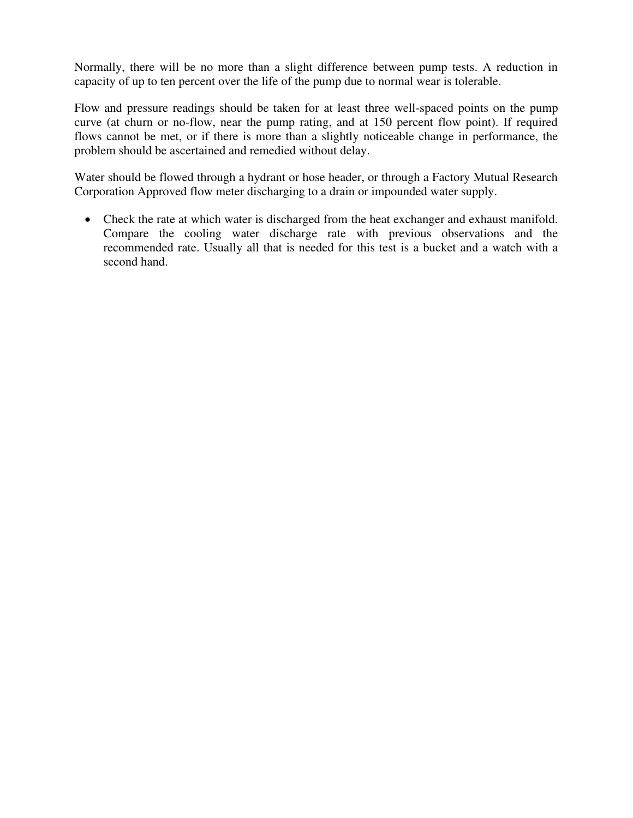Normally, there will be no more than a slight difference between pump tests. A reduction in capacity of up to ten percent over the life of the pump due to normal wear is tolerable.

Flow and pressure readings should be taken for at least three well-spaced points on the pump curve (at churn or no-flow, near the pump rating, and at 150 percent flow point). If required flows cannot be met, or if there is more than a slightly noticeable change in performance, the problem should be ascertained and remedied without delay.

Water should be flowed through a hydrant or hose header, or through a Factory Mutual Research Corporation Approved flow meter discharging to a drain or impounded water supply.

• Check the rate at which water is discharged from the heat exchanger and exhaust manifold. Compare the cooling water discharge rate with previous observations and the recommended rate. Usually all that is needed for this test is a bucket and a watch with a second hand.